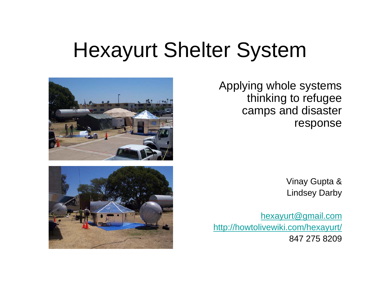#### Hexayurt Shelter System





Applying whole systems thinking to refugee camps and disaster response

> Vinay Gupta & Lindsey Darby

hexayurt@gmail.com http://howtolivewiki.com/hexayurt/ 847 275 8209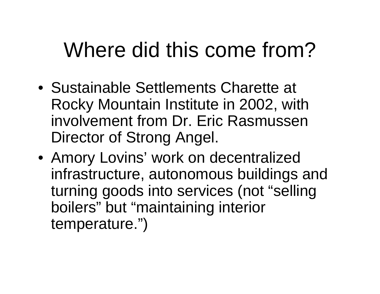### Where did this come from?

- •Sustainable Settlements Charette at Rocky Mountain Institute in 2002, with involvement from Dr. Eric Rasmussen Director of Strong Angel.
- Amory Lovins' work on decentralized infrastructure, autonomous buildings and turning goods into services (not "selling boilers" but "maintaining interior temperature.")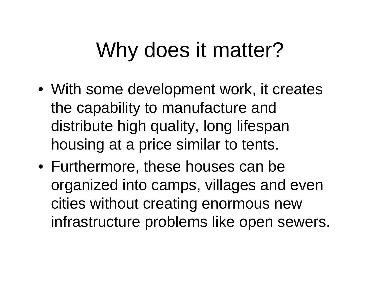# Why does it matter?

- With some development work, it creates the capability to manufacture and distribute high quality, long lifespan housing at a price similar to tents.
- Furthermore, these houses can be organized into camps, villages and even cities without creating enormous new infrastructure problems like open sewers.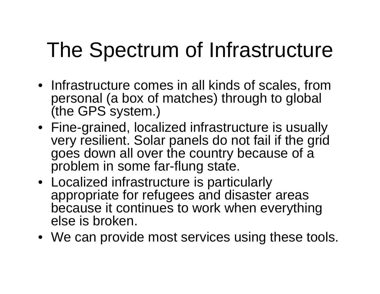#### The Spectrum of Infrastructure

- Infrastructure comes in all kinds of scales, from personal (a box of matches) through to global (the GPS system.)
- Fine-grained, localized infrastructure is usually very resilient. Solar panels do not fail if the grid goes down all over the country because of a problem in some far-flung state.
- Localized infrastructure is particularly appropriate for refugees and disaster areas because it continues to work when everything else is broken.
- We can provide most services using these tools.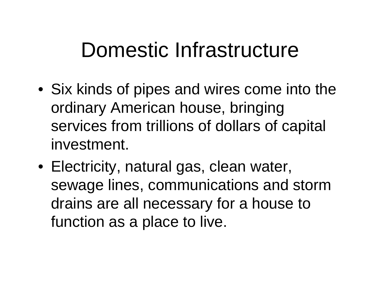#### Domestic Infrastructure

- Six kinds of pipes and wires come into the ordinary American house, bringing services from trillions of dollars of capital investment.
- Electricity, natural gas, clean water, sewage lines, communications and storm drains are all necessary for a house to function as a place to live.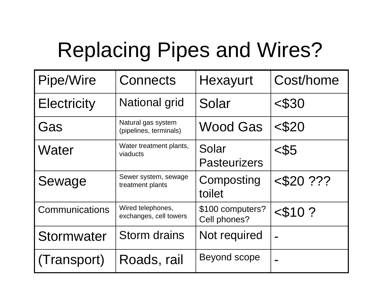# Replacing Pipes and Wires?

| Pipe/Wire          | <b>Connects</b>                              | Hexayurt                         | Cost/home    |
|--------------------|----------------------------------------------|----------------------------------|--------------|
| <b>Electricity</b> | <b>National grid</b>                         | Solar                            | $<$ \$30     |
| Gas                | Natural gas system<br>(pipelines, terminals) | <b>Wood Gas</b>                  | $<$ \$20     |
| Water              | Water treatment plants,<br>viaducts          | Solar<br><b>Pasteurizers</b>     | $<$ \$5      |
| Sewage             | Sewer system, sewage<br>treatment plants     | Composting<br>toilet             | $<$ \$20 ??? |
| Communications     | Wired telephones,<br>exchanges, cell towers  | \$100 computers?<br>Cell phones? | $<$ \$10 ?   |
| Stormwater         | <b>Storm drains</b>                          | Not required                     |              |
| (Transport)        | Roads, rail                                  | <b>Beyond scope</b>              |              |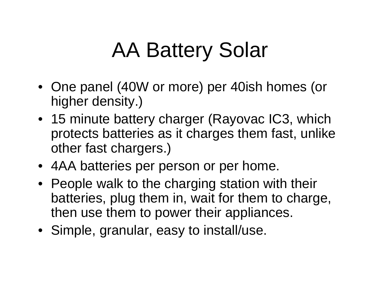# AA Battery Solar

- One panel (40W or more) per 40ish homes (or higher density.)
- 15 minute battery charger (Rayovac IC3, which protects batteries as it charges them fast, unlike other fast chargers.)
- 4AA batteries per person or per home.
- People walk to the charging station with their batteries, plug them in, wait for them to charge, then use them to power their appliances.
- Simple, granular, easy to install/use.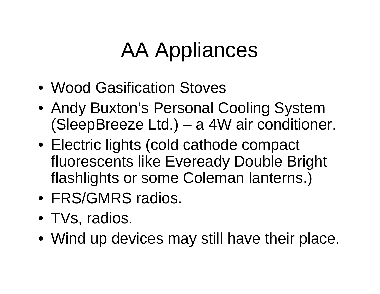# AA Appliances

- •Wood Gasification Stoves
- Andy Buxton's Personal Cooling System (SleepBreeze Ltd.) – a 4W air conditioner.
- Electric lights (cold cathode compact fluorescents like Eveready Double Bright flashlights or some Coleman lanterns.)
- •FRS/GMRS radios.
- TVs, radios.
- Wind up devices may still have their place.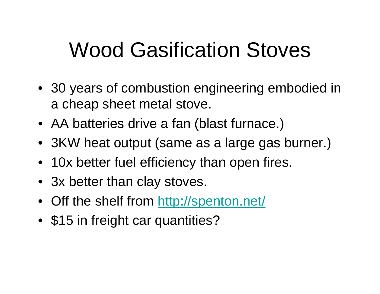# Wood Gasification Stoves

- 30 years of combustion engineering embodied in a cheap sheet metal stove.
- AA batteries drive a fan (blast furnace.)
- 3KW heat output (same as a large gas burner.)
- 10x better fuel efficiency than open fires.
- 3x better than clay stoves.
- Off the shelf from http://spenton.net/
- \$15 in freight car quantities?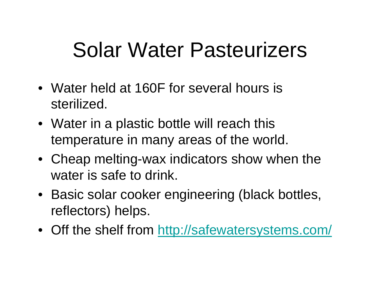#### Solar Water Pasteurizers

- •Water held at 160F for several hours is sterilized.
- Water in a plastic bottle will reach this temperature in many areas of the world.
- Cheap melting-wax indicators show when the water is safe to drink.
- Basic solar cooker engineering (black bottles, reflectors) helps.
- Off the shelf from http://safewatersystems.com/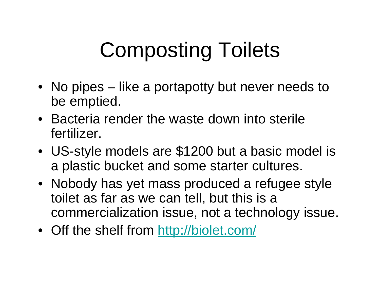# Composting Toilets

- No pipes like a portapotty but never needs to be emptied.
- •Bacteria render the waste down into sterile fertilizer.
- US-style models are \$1200 but a basic model is a plastic bucket and some starter cultures.
- Nobody has yet mass produced a refugee style toilet as far as we can tell, but this is a commercialization issue, not a technology issue.
- Off the shelf from http://biolet.com/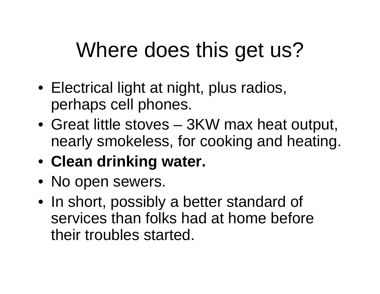# Where does this get us?

- Electrical light at night, plus radios, perhaps cell phones.
- Great little stoves 3KW max heat output, nearly smokeless, for cooking and heating.
- **Clean drinking water.**
- No open sewers.
- In short, possibly a better standard of services than folks had at home before their troubles started.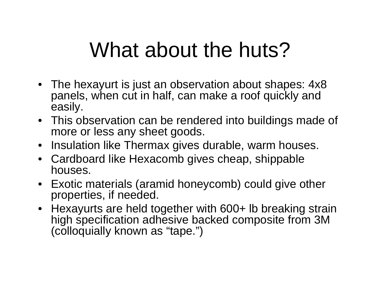### What about the huts?

- The hexayurt is just an observation about shapes: 4x8 panels, when cut in half, can make a roof quickly and easily.
- This observation can be rendered into buildings made of more or less any sheet goods.
- Insulation like Thermax gives durable, warm houses.
- Cardboard like Hexacomb gives cheap, shippable houses.
- Exotic materials (aramid honeycomb) could give other properties, if needed.
- Hexayurts are held together with 600+ lb breaking strain high specification adhesive backed composite from 3M (colloquially known as "tape.")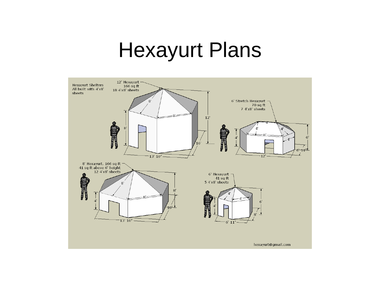#### Hexayurt Plans

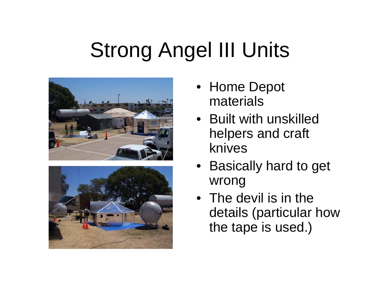# Strong Angel III Units





- Home Depot materials
- $\bullet\,$  Built with unskilled . helpers and craft knives
- Basically hard to get wrong
- $\bullet\,$  The devil is in the  $\,$ details (particular how the tape is used.)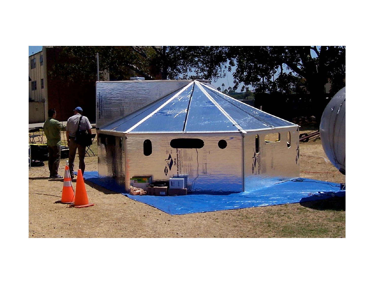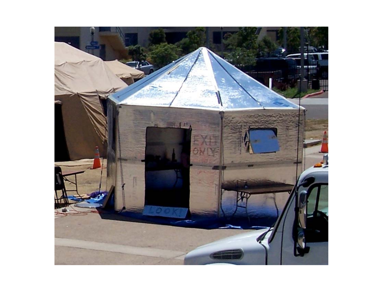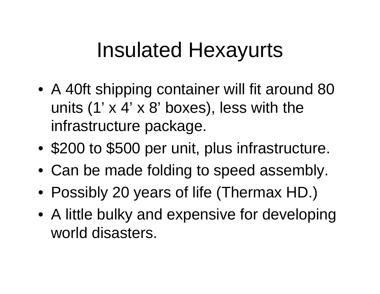#### Insulated Hexayurts

- A 40ft shipping container will fit around 80 units (1' x 4' x 8' boxes), less with the infrastructure package.
- •• \$200 to \$500 per unit, plus infrastructure.
- Can be made folding to speed assembly.
- Possibly 20 years of life (Thermax HD.)
- A little bulky and expensive for developing world disasters.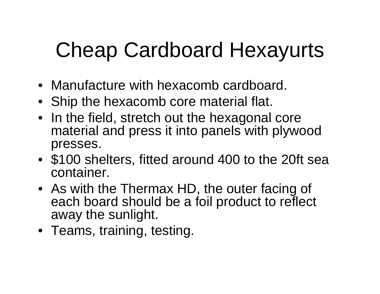# Cheap Cardboard Hexayurts

- Manufacture with hexacomb cardboard.
- Ship the hexacomb core material flat.
- In the field, stretch out the hexagonal core material and press it into panels with plywood presses.
- \$100 shelters, fitted around 400 to the 20ft sea container.
- As with the Thermax HD, the outer facing of each board should be a foil product to reflect away the sunlight.
- Teams, training, testing.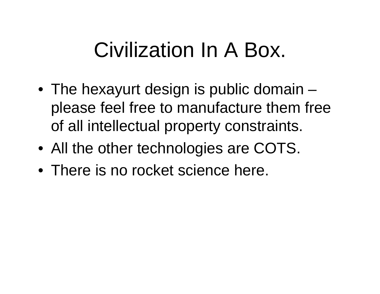### Civilization In A Box.

- The hexayurt design is public domain please feel free to manufacture them free of all intellectual property constraints.
- All the other technologies are COTS.
- •There is no rocket science here.